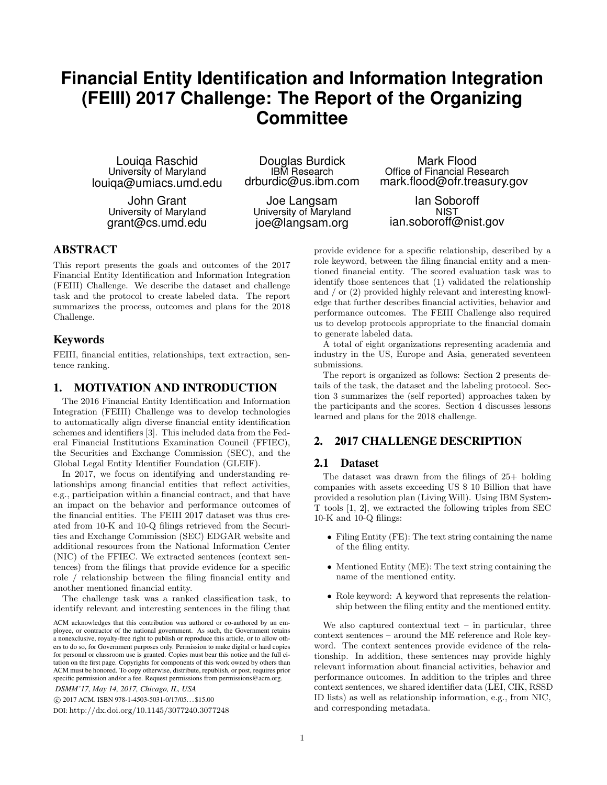# **Financial Entity Identification and Information Integration (FEIII) 2017 Challenge: The Report of the Organizing Committee**

Louiqa Raschid University of Maryland louiqa@umiacs.umd.edu

> John Grant University of Maryland grant@cs.umd.edu

Douglas Burdick IBM Research drburdic@us.ibm.com

Joe Langsam University of Maryland joe@langsam.org

Mark Flood Office of Financial Research mark.flood@ofr.treasury.gov

Ian Soboroff **NIST** ian.soboroff@nist.gov

#### ABSTRACT

This report presents the goals and outcomes of the 2017 Financial Entity Identification and Information Integration (FEIII) Challenge. We describe the dataset and challenge task and the protocol to create labeled data. The report summarizes the process, outcomes and plans for the 2018 Challenge.

#### Keywords

FEIII, financial entities, relationships, text extraction, sentence ranking.

#### 1. MOTIVATION AND INTRODUCTION

The 2016 Financial Entity Identification and Information Integration (FEIII) Challenge was to develop technologies to automatically align diverse financial entity identification schemes and identifiers [3]. This included data from the Federal Financial Institutions Examination Council (FFIEC), the Securities and Exchange Commission (SEC), and the Global Legal Entity Identifier Foundation (GLEIF).

In 2017, we focus on identifying and understanding relationships among financial entities that reflect activities, e.g., participation within a financial contract, and that have an impact on the behavior and performance outcomes of the financial entities. The FEIII 2017 dataset was thus created from 10-K and 10-Q filings retrieved from the Securities and Exchange Commission (SEC) EDGAR website and additional resources from the National Information Center (NIC) of the FFIEC. We extracted sentences (context sentences) from the filings that provide evidence for a specific role / relationship between the filing financial entity and another mentioned financial entity.

The challenge task was a ranked classification task, to identify relevant and interesting sentences in the filing that

c 2017 ACM. ISBN 978-1-4503-5031-0/17/05. . . \$15.00

DOI: http://dx.doi.org/10.1145/3077240.3077248

provide evidence for a specific relationship, described by a role keyword, between the filing financial entity and a mentioned financial entity. The scored evaluation task was to identify those sentences that (1) validated the relationship and / or (2) provided highly relevant and interesting knowledge that further describes financial activities, behavior and performance outcomes. The FEIII Challenge also required us to develop protocols appropriate to the financial domain to generate labeled data.

A total of eight organizations representing academia and industry in the US, Europe and Asia, generated seventeen submissions.

The report is organized as follows: Section 2 presents details of the task, the dataset and the labeling protocol. Section 3 summarizes the (self reported) approaches taken by the participants and the scores. Section 4 discusses lessons learned and plans for the 2018 challenge.

## 2. 2017 CHALLENGE DESCRIPTION

#### 2.1 Dataset

The dataset was drawn from the filings of 25+ holding companies with assets exceeding US \$ 10 Billion that have provided a resolution plan (Living Will). Using IBM System-T tools [1, 2], we extracted the following triples from SEC 10-K and 10-Q filings:

- Filing Entity (FE): The text string containing the name of the filing entity.
- Mentioned Entity (ME): The text string containing the name of the mentioned entity.
- Role keyword: A keyword that represents the relationship between the filing entity and the mentioned entity.

We also captured contextual text  $-$  in particular, three context sentences – around the ME reference and Role keyword. The context sentences provide evidence of the relationship. In addition, these sentences may provide highly relevant information about financial activities, behavior and performance outcomes. In addition to the triples and three context sentences, we shared identifier data (LEI, CIK, RSSD ID lists) as well as relationship information, e.g., from NIC, and corresponding metadata.

ACM acknowledges that this contribution was authored or co-authored by an employee, or contractor of the national government. As such, the Government retains a nonexclusive, royalty-free right to publish or reproduce this article, or to allow others to do so, for Government purposes only. Permission to make digital or hard copies for personal or classroom use is granted. Copies must bear this notice and the full citation on the first page. Copyrights for components of this work owned by others than ACM must be honored. To copy otherwise, distribute, republish, or post, requires prior specific permission and/or a fee. Request permissions from permissions@acm.org. *DSMM'17, May 14, 2017, Chicago, IL, USA*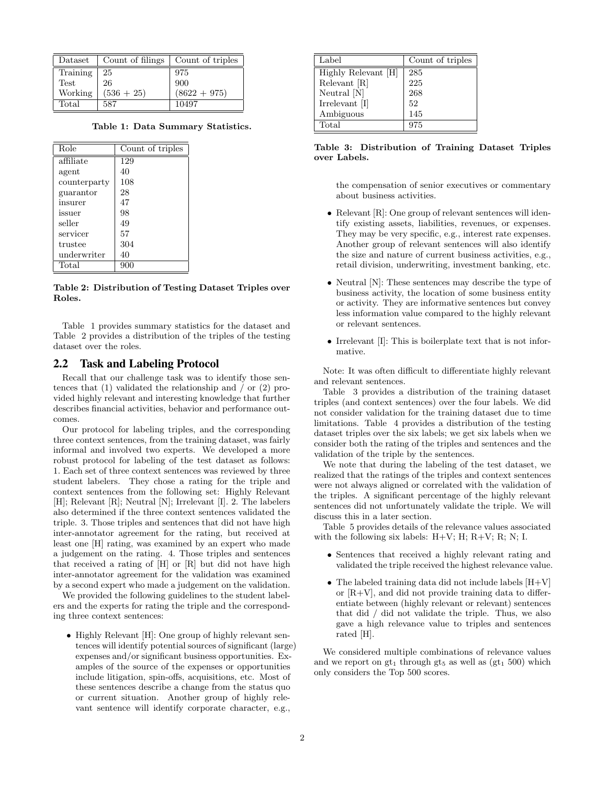|                                                                                                                                             | Dataset   Count of filings   Count of triples |                |
|---------------------------------------------------------------------------------------------------------------------------------------------|-----------------------------------------------|----------------|
|                                                                                                                                             |                                               | 975            |
| Training $\begin{array}{ c c } \hline 25 \\ \hline 1 \end{array}$ Test $\begin{array}{ c c } \hline 26 \\ \hline 165 \\ \hline \end{array}$ |                                               | 900            |
|                                                                                                                                             | $(536 + 25)$                                  | $(8622 + 975)$ |
| Total                                                                                                                                       | 587                                           | 10497          |

Table 1: Data Summary Statistics.

| Role         | Count of triples |
|--------------|------------------|
| affiliate    | 129              |
| agent        | 40               |
| counterparty | 108              |
| guarantor    | 28               |
| insurer      | 47               |
| issuer       | 98               |
| seller       | 49               |
| servicer     | 57               |
| trustee      | 304              |
| underwriter  | 40               |
| Total        |                  |

Table 2: Distribution of Testing Dataset Triples over Roles.

Table 1 provides summary statistics for the dataset and Table 2 provides a distribution of the triples of the testing dataset over the roles.

#### 2.2 Task and Labeling Protocol

Recall that our challenge task was to identify those sentences that (1) validated the relationship and / or (2) provided highly relevant and interesting knowledge that further describes financial activities, behavior and performance outcomes.

Our protocol for labeling triples, and the corresponding three context sentences, from the training dataset, was fairly informal and involved two experts. We developed a more robust protocol for labeling of the test dataset as follows: 1. Each set of three context sentences was reviewed by three student labelers. They chose a rating for the triple and context sentences from the following set: Highly Relevant [H]; Relevant [R]; Neutral [N]; Irrelevant [I]. 2. The labelers also determined if the three context sentences validated the triple. 3. Those triples and sentences that did not have high inter-annotator agreement for the rating, but received at least one [H] rating, was examined by an expert who made a judgement on the rating. 4. Those triples and sentences that received a rating of [H] or [R] but did not have high inter-annotator agreement for the validation was examined by a second expert who made a judgement on the validation.

We provided the following guidelines to the student labelers and the experts for rating the triple and the corresponding three context sentences:

• Highly Relevant [H]: One group of highly relevant sentences will identify potential sources of significant (large) expenses and/or significant business opportunities. Examples of the source of the expenses or opportunities include litigation, spin-offs, acquisitions, etc. Most of these sentences describe a change from the status quo or current situation. Another group of highly relevant sentence will identify corporate character, e.g.,

| Label               | Count of triples |
|---------------------|------------------|
| Highly Relevant [H] | 285              |
| Relevant [R]        | 225              |
| Neutral [N]         | 268              |
| Irrelevant [I]      | 52               |
| Ambiguous           | 145              |
| Total               | 975              |

Table 3: Distribution of Training Dataset Triples over Labels.

the compensation of senior executives or commentary about business activities.

- Relevant [R]: One group of relevant sentences will identify existing assets, liabilities, revenues, or expenses. They may be very specific, e.g., interest rate expenses. Another group of relevant sentences will also identify the size and nature of current business activities, e.g., retail division, underwriting, investment banking, etc.
- Neutral [N]: These sentences may describe the type of business activity, the location of some business entity or activity. They are informative sentences but convey less information value compared to the highly relevant or relevant sentences.
- Irrelevant [I]: This is boilerplate text that is not informative.

Note: It was often difficult to differentiate highly relevant and relevant sentences.

Table 3 provides a distribution of the training dataset triples (and context sentences) over the four labels. We did not consider validation for the training dataset due to time limitations. Table 4 provides a distribution of the testing dataset triples over the six labels; we get six labels when we consider both the rating of the triples and sentences and the validation of the triple by the sentences.

We note that during the labeling of the test dataset, we realized that the ratings of the triples and context sentences were not always aligned or correlated with the validation of the triples. A significant percentage of the highly relevant sentences did not unfortunately validate the triple. We will discuss this in a later section.

Table 5 provides details of the relevance values associated with the following six labels:  $H+V$ ;  $H$ ;  $R+V$ ;  $R$ ;  $N$ ; I.

- Sentences that received a highly relevant rating and validated the triple received the highest relevance value.
- The labeled training data did not include labels  $[H+V]$ or  $[R+V]$ , and did not provide training data to differentiate between (highly relevant or relevant) sentences that did / did not validate the triple. Thus, we also gave a high relevance value to triples and sentences rated [H].

We considered multiple combinations of relevance values and we report on  $gt_1$  through  $gt_5$  as well as  $(gt_1 500)$  which only considers the Top 500 scores.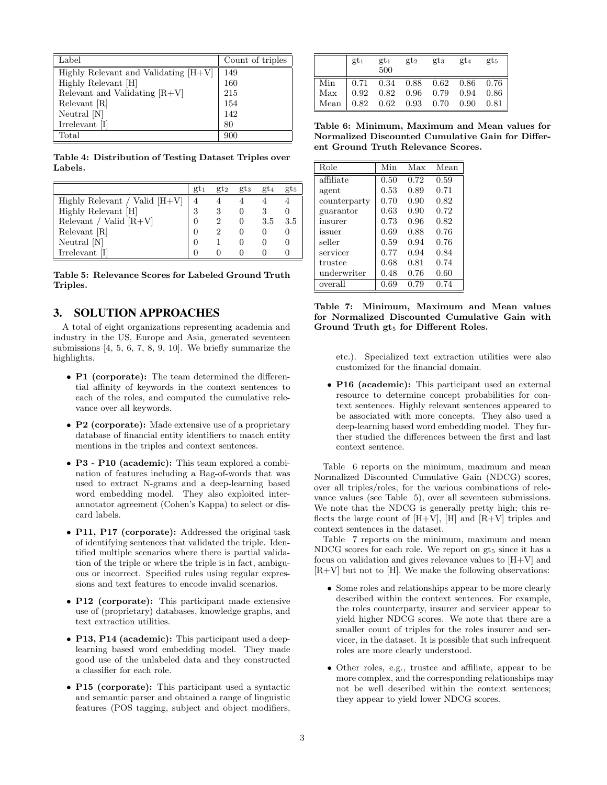| Label                                  | Count of triples |
|----------------------------------------|------------------|
| Highly Relevant and Validating $ H+V $ | 149              |
| Highly Relevant [H]                    | 160              |
| Relevant and Validating $[R+V]$        | 215              |
| Relevant [R]                           | 154              |
| Neutral $[N]$                          | 142              |
| Irrelevant [I]                         | 80               |
| Total                                  | 900              |

Table 4: Distribution of Testing Dataset Triples over Labels.

|                                 | $gt_1$ | $gt_2$ | $gt_{3}$ | $gt_4$ | $gt$ <sub>5</sub> |
|---------------------------------|--------|--------|----------|--------|-------------------|
| Highly Relevant / Valid $[H+V]$ |        |        |          |        |                   |
| Highly Relevant [H]             | 3      |        |          |        |                   |
| Relevant / Valid $[R+V]$        |        |        |          | 3.5    | 3.5               |
| Relevant [R]                    |        |        |          |        |                   |
| Neutral $[N]$                   |        |        |          |        |                   |
| Irrelevant [I]                  |        |        |          |        |                   |

Table 5: Relevance Scores for Labeled Ground Truth Triples.

#### 3. SOLUTION APPROACHES

A total of eight organizations representing academia and industry in the US, Europe and Asia, generated seventeen submissions [4, 5, 6, 7, 8, 9, 10]. We briefly summarize the highlights.

- P1 (corporate): The team determined the differential affinity of keywords in the context sentences to each of the roles, and computed the cumulative relevance over all keywords.
- P2 (corporate): Made extensive use of a proprietary database of financial entity identifiers to match entity mentions in the triples and context sentences.
- P3 P10 (academic): This team explored a combination of features including a Bag-of-words that was used to extract N-grams and a deep-learning based word embedding model. They also exploited interannotator agreement (Cohen's Kappa) to select or discard labels.
- P11, P17 (corporate): Addressed the original task of identifying sentences that validated the triple. Identified multiple scenarios where there is partial validation of the triple or where the triple is in fact, ambiguous or incorrect. Specified rules using regular expressions and text features to encode invalid scenarios.
- P12 (corporate): This participant made extensive use of (proprietary) databases, knowledge graphs, and text extraction utilities.
- P13, P14 (academic): This participant used a deeplearning based word embedding model. They made good use of the unlabeled data and they constructed a classifier for each role.
- P15 (corporate): This participant used a syntactic and semantic parser and obtained a range of linguistic features (POS tagging, subject and object modifiers,

|                                                                                                                                                                                                                                 | $gt_1$ |  | $gt_1$ $gt_2$ $gt_3$ $gt_4$<br>$500$ | $gt_5$ |
|---------------------------------------------------------------------------------------------------------------------------------------------------------------------------------------------------------------------------------|--------|--|--------------------------------------|--------|
|                                                                                                                                                                                                                                 |        |  |                                      |        |
|                                                                                                                                                                                                                                 |        |  |                                      |        |
| $\begin{tabular}{ l c c c c c c c c c } \hline Min & 0.71 & 0.34 & 0.88 & 0.62 & 0.86 & 0.76 \\ \hline Max & 0.92 & 0.82 & 0.96 & 0.79 & 0.94 & 0.86 \\ Mean & 0.82 & 0.62 & 0.93 & 0.70 & 0.90 & 0.81 \\ \hline \end{tabular}$ |        |  |                                      |        |

Table 6: Minimum, Maximum and Mean values for Normalized Discounted Cumulative Gain for Different Ground Truth Relevance Scores.

| Role         | Min  | $\overline{\text{Max}}$ | Mean |
|--------------|------|-------------------------|------|
| affiliate    | 0.50 | 0.72                    | 0.59 |
| agent        | 0.53 | 0.89                    | 0.71 |
| counterparty | 0.70 | 0.90                    | 0.82 |
| guarantor    | 0.63 | 0.90                    | 0.72 |
| insurer      | 0.73 | 0.96                    | 0.82 |
| issuer       | 0.69 | 0.88                    | 0.76 |
| seller       | 0.59 | 0.94                    | 0.76 |
| servicer     | 0.77 | 0.94                    | 0.84 |
| trustee      | 0.68 | 0.81                    | 0.74 |
| underwriter  | 0.48 | 0.76                    | 0.60 |
| overall      | 0.69 | 0.79                    | 0.74 |

Table 7: Minimum, Maximum and Mean values for Normalized Discounted Cumulative Gain with Ground Truth  $gt_5$  for Different Roles.

etc.). Specialized text extraction utilities were also customized for the financial domain.

• P16 (academic): This participant used an external resource to determine concept probabilities for context sentences. Highly relevant sentences appeared to be associated with more concepts. They also used a deep-learning based word embedding model. They further studied the differences between the first and last context sentence.

Table 6 reports on the minimum, maximum and mean Normalized Discounted Cumulative Gain (NDCG) scores, over all triples/roles, for the various combinations of relevance values (see Table 5), over all seventeen submissions. We note that the NDCG is generally pretty high; this reflects the large count of  $[H+V]$ ,  $[H]$  and  $[R+V]$  triples and context sentences in the dataset.

Table 7 reports on the minimum, maximum and mean NDCG scores for each role. We report on  $gt_5$  since it has a focus on validation and gives relevance values to [H+V] and  $[R+V]$  but not to  $[H]$ . We make the following observations:

- Some roles and relationships appear to be more clearly described within the context sentences. For example, the roles counterparty, insurer and servicer appear to yield higher NDCG scores. We note that there are a smaller count of triples for the roles insurer and servicer, in the dataset. It is possible that such infrequent roles are more clearly understood.
- Other roles, e.g., trustee and affiliate, appear to be more complex, and the corresponding relationships may not be well described within the context sentences; they appear to yield lower NDCG scores.